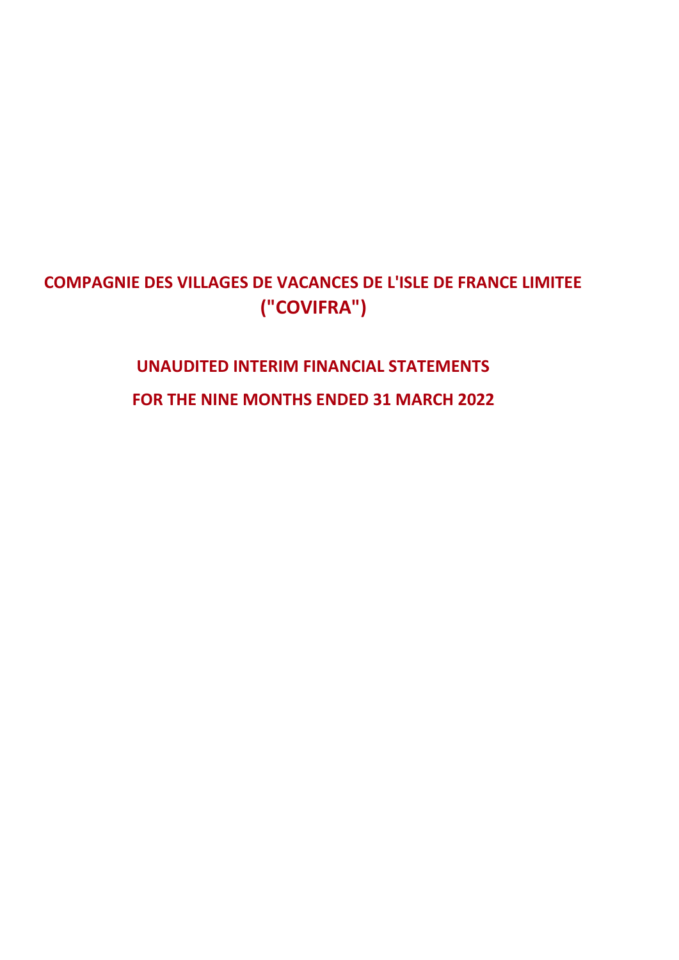## **COMPAGNIE DES VILLAGES DE VACANCES DE L'ISLE DE FRANCE LIMITEE ("COVIFRA")**

# **UNAUDITED INTERIM FINANCIAL STATEMENTS FOR THE NINE MONTHS ENDED 31 MARCH 2022**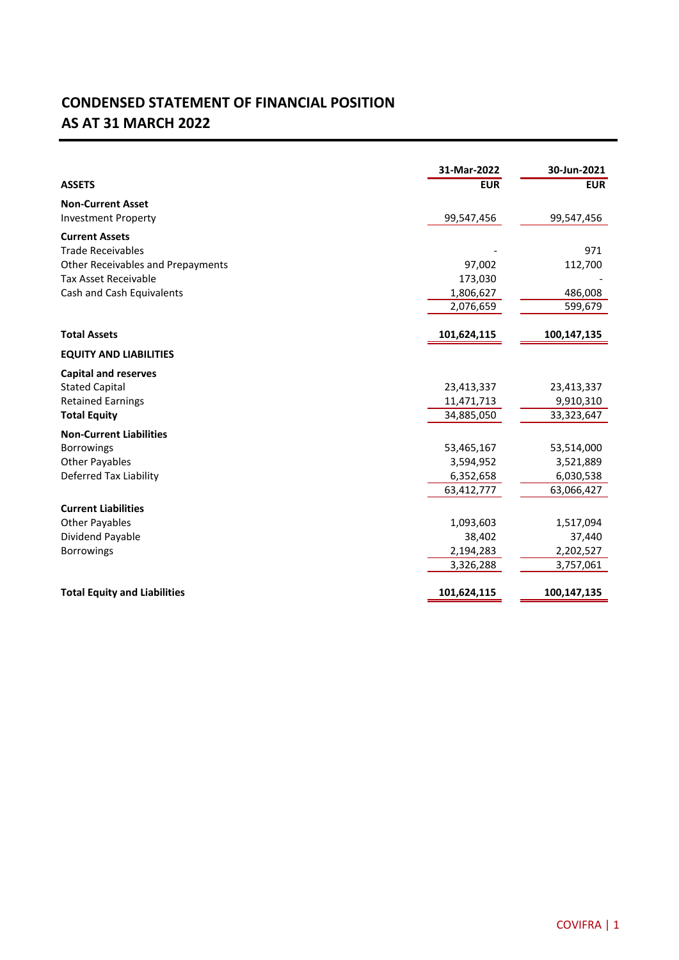### **CONDENSED STATEMENT OF FINANCIAL POSITION AS AT 31 MARCH 2022**

|                                     | 31-Mar-2022 | 30-Jun-2021 |
|-------------------------------------|-------------|-------------|
| <b>ASSETS</b>                       | <b>EUR</b>  | <b>EUR</b>  |
| <b>Non-Current Asset</b>            |             |             |
| <b>Investment Property</b>          | 99,547,456  | 99,547,456  |
| <b>Current Assets</b>               |             |             |
| <b>Trade Receivables</b>            |             | 971         |
| Other Receivables and Prepayments   | 97,002      | 112,700     |
| <b>Tax Asset Receivable</b>         | 173,030     |             |
| Cash and Cash Equivalents           | 1,806,627   | 486,008     |
|                                     | 2,076,659   | 599,679     |
| <b>Total Assets</b>                 | 101,624,115 | 100,147,135 |
| <b>EQUITY AND LIABILITIES</b>       |             |             |
| <b>Capital and reserves</b>         |             |             |
| <b>Stated Capital</b>               | 23,413,337  | 23,413,337  |
| <b>Retained Earnings</b>            | 11,471,713  | 9,910,310   |
| <b>Total Equity</b>                 | 34,885,050  | 33,323,647  |
| <b>Non-Current Liabilities</b>      |             |             |
| <b>Borrowings</b>                   | 53,465,167  | 53,514,000  |
| <b>Other Payables</b>               | 3,594,952   | 3,521,889   |
| Deferred Tax Liability              | 6,352,658   | 6,030,538   |
|                                     | 63,412,777  | 63,066,427  |
| <b>Current Liabilities</b>          |             |             |
| <b>Other Payables</b>               | 1,093,603   | 1,517,094   |
| Dividend Payable                    | 38,402      | 37,440      |
| <b>Borrowings</b>                   | 2,194,283   | 2,202,527   |
|                                     | 3,326,288   | 3,757,061   |
| <b>Total Equity and Liabilities</b> | 101,624,115 | 100,147,135 |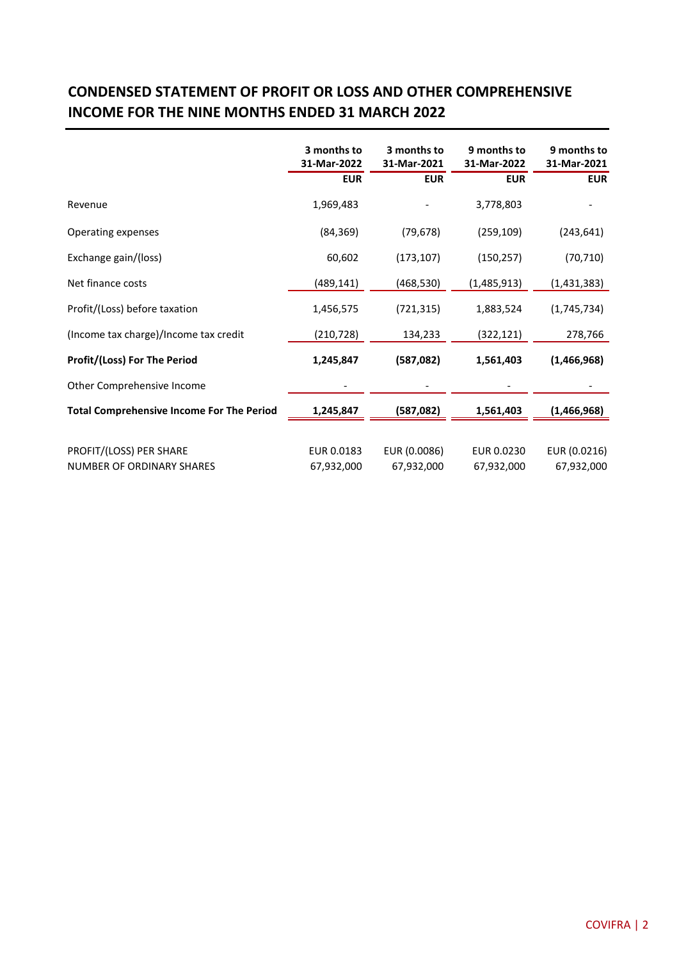#### **CONDENSED STATEMENT OF PROFIT OR LOSS AND OTHER COMPREHENSIVE INCOME FOR THE NINE MONTHS ENDED 31 MARCH 2022**

|                                                             | 3 months to<br>31-Mar-2022 | 3 months to<br>31-Mar-2021<br><b>EUR</b> | 9 months to<br>31-Mar-2022 | 9 months to<br>31-Mar-2021 |
|-------------------------------------------------------------|----------------------------|------------------------------------------|----------------------------|----------------------------|
|                                                             | <b>EUR</b>                 |                                          | <b>EUR</b>                 | <b>EUR</b>                 |
| Revenue                                                     | 1,969,483                  |                                          | 3,778,803                  |                            |
| Operating expenses                                          | (84, 369)                  | (79, 678)                                | (259, 109)                 | (243, 641)                 |
| Exchange gain/(loss)                                        | 60,602                     | (173, 107)                               | (150, 257)                 | (70, 710)                  |
| Net finance costs                                           | (489, 141)                 | (468, 530)                               | (1,485,913)                | (1,431,383)                |
| Profit/(Loss) before taxation                               | 1,456,575                  | (721, 315)                               | 1,883,524                  | (1,745,734)                |
| (Income tax charge)/Income tax credit                       | (210,728)                  | 134,233                                  | (322, 121)                 | 278,766                    |
| <b>Profit/(Loss) For The Period</b>                         | 1,245,847                  | (587,082)                                | 1,561,403                  | (1,466,968)                |
| Other Comprehensive Income                                  |                            |                                          |                            |                            |
| <b>Total Comprehensive Income For The Period</b>            | 1,245,847                  | (587, 082)                               | 1,561,403                  | (1,466,968)                |
|                                                             |                            |                                          |                            |                            |
| PROFIT/(LOSS) PER SHARE<br><b>NUMBER OF ORDINARY SHARES</b> | EUR 0.0183<br>67,932,000   | EUR (0.0086)<br>67,932,000               | EUR 0.0230<br>67,932,000   | EUR (0.0216)<br>67,932,000 |
|                                                             |                            |                                          |                            |                            |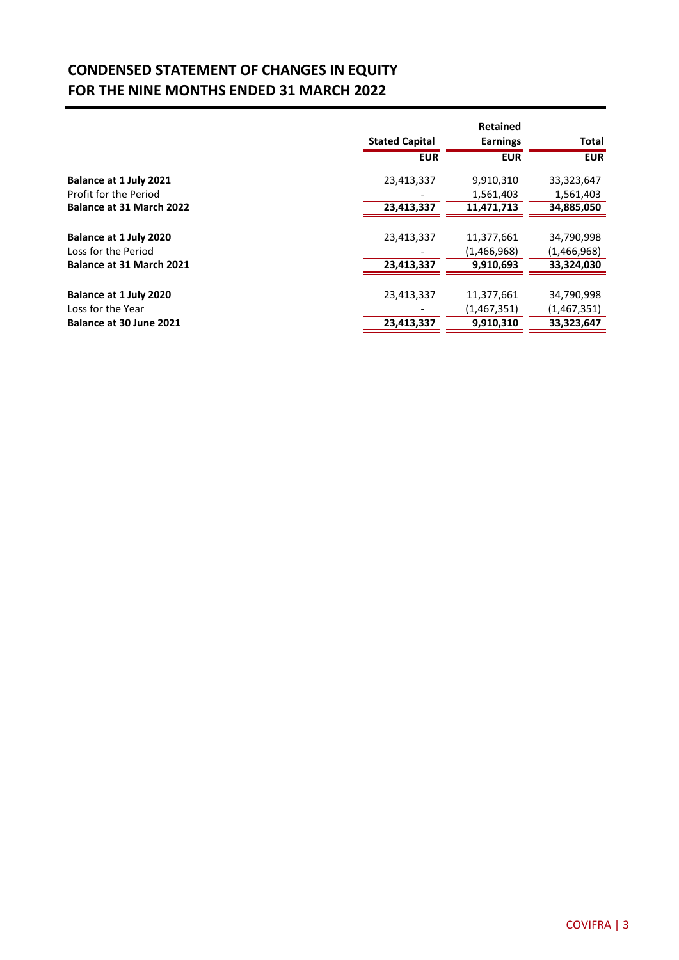#### **CONDENSED STATEMENT OF CHANGES IN EQUITY FOR THE NINE MONTHS ENDED 31 MARCH 2022**

|                          |                       | <b>Retained</b> |             |
|--------------------------|-----------------------|-----------------|-------------|
|                          | <b>Stated Capital</b> | <b>Earnings</b> | Total       |
|                          | <b>EUR</b>            | <b>EUR</b>      | <b>EUR</b>  |
| Balance at 1 July 2021   | 23,413,337            | 9,910,310       | 33,323,647  |
| Profit for the Period    |                       | 1,561,403       | 1,561,403   |
| Balance at 31 March 2022 | 23,413,337            | 11,471,713      | 34,885,050  |
|                          |                       |                 |             |
| Balance at 1 July 2020   | 23,413,337            | 11,377,661      | 34,790,998  |
| Loss for the Period      |                       | (1,466,968)     | (1,466,968) |
| Balance at 31 March 2021 | 23,413,337            | 9.910.693       | 33,324,030  |
|                          |                       |                 |             |
| Balance at 1 July 2020   | 23,413,337            | 11,377,661      | 34,790,998  |
| Loss for the Year        |                       | (1,467,351)     | (1,467,351) |
| Balance at 30 June 2021  | 23,413,337            | 9,910,310       | 33,323,647  |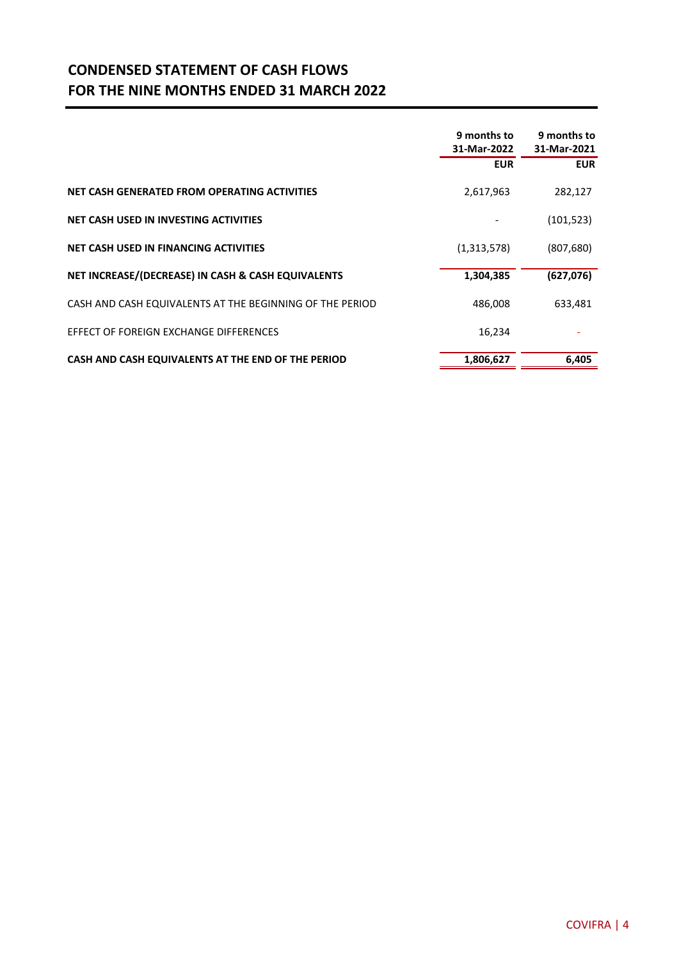#### **CONDENSED STATEMENT OF CASH FLOWS FOR THE NINE MONTHS ENDED 31 MARCH 2022**

|                                                          | 9 months to<br>31-Mar-2022 | 9 months to<br>31-Mar-2021 |
|----------------------------------------------------------|----------------------------|----------------------------|
|                                                          | <b>EUR</b>                 | <b>EUR</b>                 |
| NET CASH GENERATED FROM OPERATING ACTIVITIES             | 2,617,963                  | 282,127                    |
| NET CASH USED IN INVESTING ACTIVITIES                    |                            | (101, 523)                 |
| NET CASH USED IN FINANCING ACTIVITIES                    | (1,313,578)                | (807, 680)                 |
| NET INCREASE/(DECREASE) IN CASH & CASH EQUIVALENTS       | 1,304,385                  | (627,076)                  |
| CASH AND CASH EQUIVALENTS AT THE BEGINNING OF THE PERIOD | 486,008                    | 633,481                    |
| EFFECT OF FOREIGN EXCHANGE DIFFERENCES                   | 16,234                     |                            |
| CASH AND CASH EQUIVALENTS AT THE END OF THE PERIOD       | 1,806,627                  | 6,405                      |